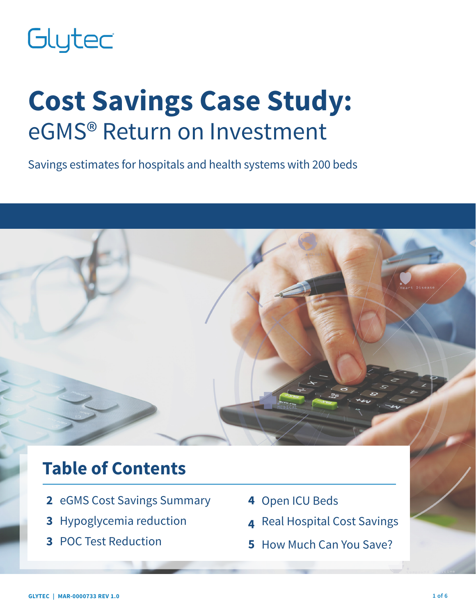# Glytec

## **Cost Savings Case Study:** eGMS® Return on Investment

Savings estimates for hospitals and health systems with 200 beds

## **Table of Contents**

- **2** eGMS Cost Savings Summary
- **3** Hypoglycemia reduction
- **3** POC Test Reduction
- **4** Open ICU Beds
- **4** Real Hospital Cost Savings
- **5** How Much Can You Save?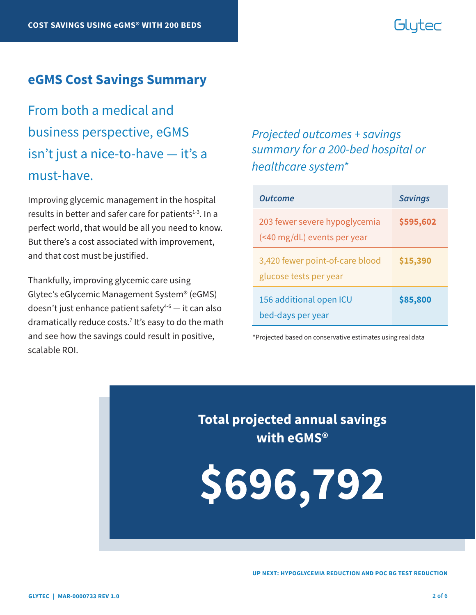#### Glutec

#### **eGMS Cost Savings Summary**

From both a medical and business perspective, eGMS isn't just a nice-to-have — it's a must-have.

Improving glycemic management in the hospital results in better and safer care for patients $1-3$ . In a perfect world, that would be all you need to know. But there's a cost associated with improvement, and that cost must be justified.

Thankfully, improving glycemic care using Glytec's eGlycemic Management System® (eGMS) doesn't just enhance patient safety $4-6$  — it can also dramatically reduce costs.7 It's easy to do the math and see how the savings could result in positive, scalable ROI.

#### *Projected outcomes + savings summary for a 200-bed hospital or healthcare system\**

| <b>Outcome</b>                                               | <b>Savings</b> |
|--------------------------------------------------------------|----------------|
| 203 fewer severe hypoglycemia<br>(<40 mg/dL) events per year | \$595,602      |
| 3,420 fewer point-of-care blood<br>glucose tests per year    | \$15,390       |
| 156 additional open ICU<br>bed-days per year                 | \$85,800       |

\*Projected based on conservative estimates using real data

**Total projected annual savings with eGMS®**

**\$696,792**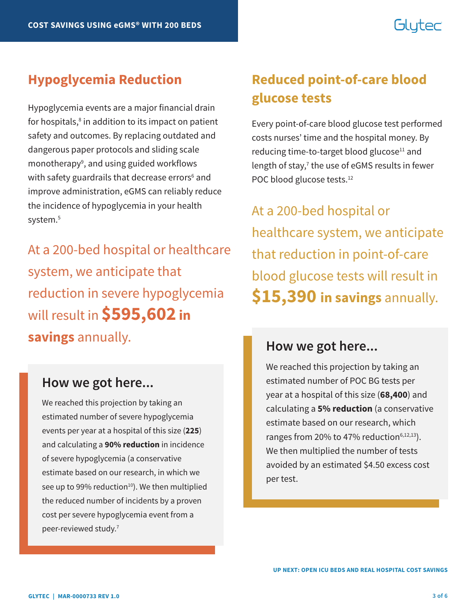### Glutec

Hypoglycemia events are a major financial drain for hospitals,<sup>8</sup> in addition to its impact on patient safety and outcomes. By replacing outdated and dangerous paper protocols and sliding scale monotherapy<sup>9</sup>, and using guided workflows with safety guardrails that decrease errors<sup>6</sup> and improve administration, eGMS can reliably reduce the incidence of hypoglycemia in your health system.<sup>5</sup>

At a 200-bed hospital or healthcare system, we anticipate that reduction in severe hypoglycemia will result in **\$595,602 in savings** annually.

#### **How we got here...**

We reached this projection by taking an estimated number of severe hypoglycemia events per year at a hospital of this size (**225**) and calculating a **90% reduction** in incidence of severe hypoglycemia (a conservative estimate based on our research, in which we see up to 99% reduction<sup>10</sup>). We then multiplied the reduced number of incidents by a proven cost per severe hypoglycemia event from a peer-reviewed study.<sup>7</sup>

#### **Hypoglycemia Reduction Reduced point-of-care blood glucose tests**

Every point-of-care blood glucose test performed costs nurses' time and the hospital money. By reducing time-to-target blood glucose<sup>11</sup> and length of stay,<sup>7</sup> the use of eGMS results in fewer POC blood glucose tests.<sup>12</sup>

At a 200-bed hospital or healthcare system, we anticipate that reduction in point-of-care blood glucose tests will result in **\$15,390 in savings** annually.

#### **How we got here...**

We reached this projection by taking an estimated number of POC BG tests per year at a hospital of this size (**68,400**) and calculating a **5% reduction** (a conservative estimate based on our research, which ranges from 20% to 47% reduction $6,12,13$ ). We then multiplied the number of tests avoided by an estimated \$4.50 excess cost per test.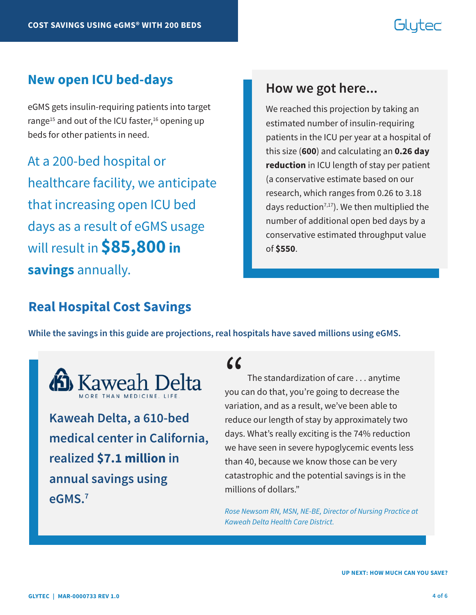### Glutec

#### **New open ICU bed-days**

eGMS gets insulin-requiring patients into target range<sup>15</sup> and out of the ICU faster,<sup>16</sup> opening up beds for other patients in need.

At a 200-bed hospital or healthcare facility, we anticipate that increasing open ICU bed days as a result of eGMS usage will result in **\$85,800 in savings** annually.

#### **How we got here...**

We reached this projection by taking an estimated number of insulin-requiring patients in the ICU per year at a hospital of this size (**600**) and calculating an **0.26 day reduction** in ICU length of stay per patient (a conservative estimate based on our research, which ranges from 0.26 to 3.18 days reduction<sup>7,17</sup>). We then multiplied the number of additional open bed days by a conservative estimated throughput value of **\$550**.

#### **Real Hospital Cost Savings**

**While the savings in this guide are projections, real hospitals have saved millions using eGMS.** 



**Kaweah Delta, a 610-bed medical center in California, realized \$7.1 million in annual savings using eGMS.7**

## $\alpha$

 The standardization of care . . . anytime you can do that, you're going to decrease the variation, and as a result, we've been able to reduce our length of stay by approximately two days. What's really exciting is the 74% reduction we have seen in severe hypoglycemic events less than 40, because we know those can be very catastrophic and the potential savings is in the millions of dollars."

*Rose Newsom RN, MSN, NE-BE, Director of Nursing Practice at Kaweah Delta Health Care District.*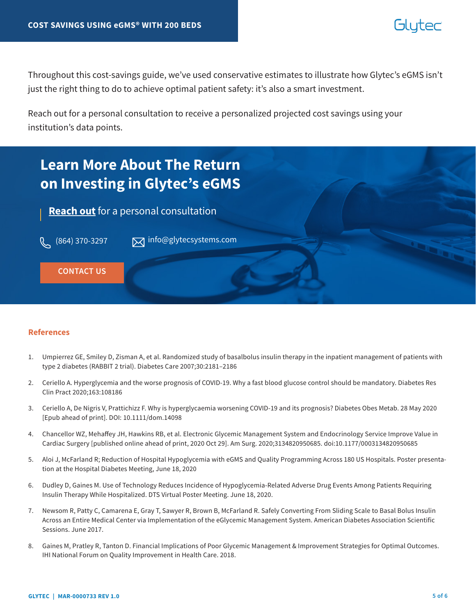#### blutec

Throughout this cost-savings guide, we've used conservative estimates to illustrate how Glytec's eGMS isn't just the right thing to do to achieve optimal patient safety: it's also a smart investment.

Reach out for a personal consultation to receive a personalized projected cost savings using your institution's data points.



#### **References**

- 1. Umpierrez GE, Smiley D, Zisman A, et al. Randomized study of basalbolus insulin therapy in the inpatient management of patients with type 2 diabetes (RABBIT 2 trial). Diabetes Care 2007;30:2181–2186
- 2. Ceriello A. Hyperglycemia and the worse prognosis of COVID-19. Why a fast blood glucose control should be mandatory. Diabetes Res Clin Pract 2020;163:108186
- 3. Ceriello A, De Nigris V, Prattichizz F. Why is hyperglycaemia worsening COVID-19 and its prognosis? Diabetes Obes Metab. 28 May 2020 [Epub ahead of print]. DOI: 10.1111/dom.14098
- 4. Chancellor WZ, Mehaffey JH, Hawkins RB, et al. Electronic Glycemic Management System and Endocrinology Service Improve Value in Cardiac Surgery [published online ahead of print, 2020 Oct 29]. Am Surg. 2020;3134820950685. doi:10.1177/0003134820950685
- 5. Aloi J, McFarland R; Reduction of Hospital Hypoglycemia with eGMS and Quality Programming Across 180 US Hospitals. Poster presentation at the Hospital Diabetes Meeting, June 18, 2020
- 6. Dudley D, Gaines M. Use of Technology Reduces Incidence of Hypoglycemia-Related Adverse Drug Events Among Patients Requiring Insulin Therapy While Hospitalized. DTS Virtual Poster Meeting. June 18, 2020.
- 7. Newsom R, Patty C, Camarena E, Gray T, Sawyer R, Brown B, McFarland R. Safely Converting From Sliding Scale to Basal Bolus Insulin Across an Entire Medical Center via Implementation of the eGlycemic Management System. American Diabetes Association Scientific Sessions. June 2017.
- 8. Gaines M, Pratley R, Tanton D. Financial Implications of Poor Glycemic Management & Improvement Strategies for Optimal Outcomes. IHI National Forum on Quality Improvement in Health Care. 2018.